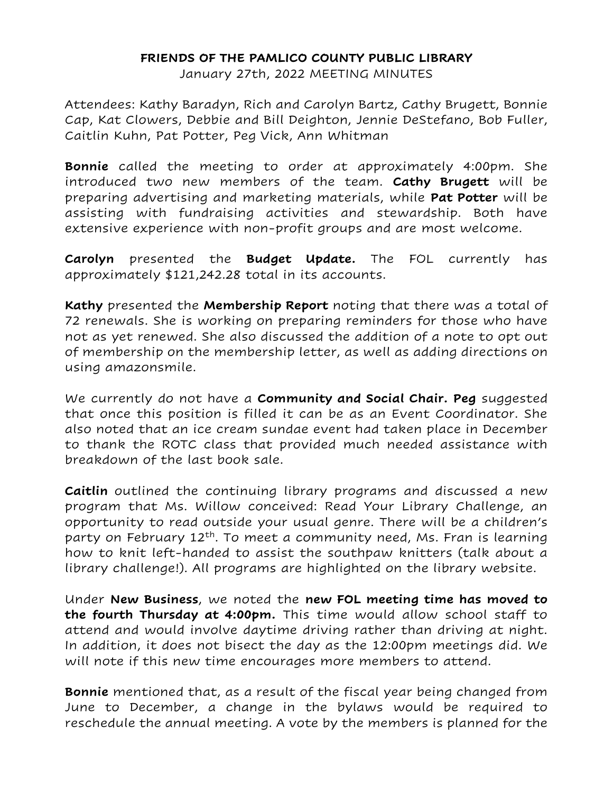## **FRIENDS OF THE PAMLICO COUNTY PUBLIC LIBRARY**

January 27th, 2022 MEETING MINUTES

Attendees: Kathy Baradyn, Rich and Carolyn Bartz, Cathy Brugett, Bonnie Cap, Kat Clowers, Debbie and Bill Deighton, Jennie DeStefano, Bob Fuller, Caitlin Kuhn, Pat Potter, Peg Vick, Ann Whitman

**Bonnie** called the meeting to order at approximately 4:00pm. She introduced two new members of the team. **Cathy Brugett** will be preparing advertising and marketing materials, while **Pat Potter** will be assisting with fundraising activities and stewardship. Both have extensive experience with non-profit groups and are most welcome.

**Carolyn** presented the **Budget Update.** The FOL currently has approximately \$121,242.28 total in its accounts.

**Kathy** presented the **Membership Report** noting that there was a total of 72 renewals. She is working on preparing reminders for those who have not as yet renewed. She also discussed the addition of a note to opt out of membership on the membership letter, as well as adding directions on using amazonsmile.

We currently do not have a **Community and Social Chair. Peg** suggested that once this position is filled it can be as an Event Coordinator. She also noted that an ice cream sundae event had taken place in December to thank the ROTC class that provided much needed assistance with breakdown of the last book sale.

**Caitlin** outlined the continuing library programs and discussed a new program that Ms. Willow conceived: Read Your Library Challenge, an opportunity to read outside your usual genre. There will be a children's party on February 12<sup>th</sup>. To meet a community need, Ms. Fran is learning how to knit left-handed to assist the southpaw knitters (talk about a library challenge!). All programs are highlighted on the library website.

Under **New Business**, we noted the **new FOL meeting time has moved to the fourth Thursday at 4:00pm.** This time would allow school staff to attend and would involve daytime driving rather than driving at night. In addition, it does not bisect the day as the 12:00pm meetings did. We will note if this new time encourages more members to attend.

**Bonnie** mentioned that, as a result of the fiscal year being changed from June to December, a change in the bylaws would be required to reschedule the annual meeting. A vote by the members is planned for the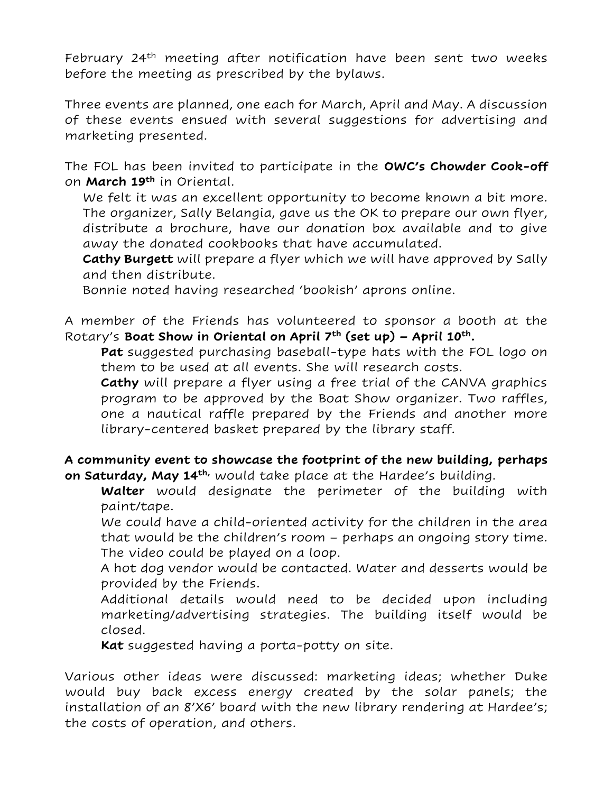February 24th meeting after notification have been sent two weeks before the meeting as prescribed by the bylaws.

Three events are planned, one each for March, April and May. A discussion of these events ensued with several suggestions for advertising and marketing presented.

The FOL has been invited to participate in the **OWC's Chowder Cook-off** on **March 19th** in Oriental.

We felt it was an excellent opportunity to become known a bit more. The organizer, Sally Belangia, gave us the OK to prepare our own flyer, distribute a brochure, have our donation box available and to give away the donated cookbooks that have accumulated.

**Cathy Burgett** will prepare a flyer which we will have approved by Sally and then distribute.

Bonnie noted having researched 'bookish' aprons online.

A member of the Friends has volunteered to sponsor a booth at the Rotary's **Boat Show in Oriental on April 7th (set up) – April 10th.**

**Pat** suggested purchasing baseball-type hats with the FOL logo on them to be used at all events. She will research costs.

**Cathy** will prepare a flyer using a free trial of the CANVA graphics program to be approved by the Boat Show organizer. Two raffles, one a nautical raffle prepared by the Friends and another more library-centered basket prepared by the library staff.

## **A community event to showcase the footprint of the new building, perhaps on Saturday, May 14th,** would take place at the Hardee's building.

**Walter** would designate the perimeter of the building with paint/tape.

We could have a child-oriented activity for the children in the area that would be the children's room – perhaps an ongoing story time. The video could be played on a loop.

A hot dog vendor would be contacted. Water and desserts would be provided by the Friends.

Additional details would need to be decided upon including marketing/advertising strategies. The building itself would be closed.

**Kat** suggested having a porta-potty on site.

Various other ideas were discussed: marketing ideas; whether Duke would buy back excess energy created by the solar panels; the installation of an 8'X6' board with the new library rendering at Hardee's; the costs of operation, and others.